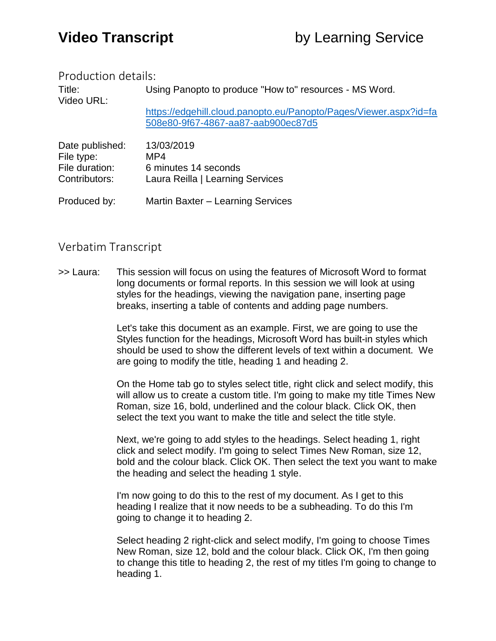Production details:

Title: Using Panopto to produce "How to" resources - MS Word. Video URL: [https://edgehill.cloud.panopto.eu/Panopto/Pages/Viewer.aspx?id=fa](https://edgehill.cloud.panopto.eu/Panopto/Pages/Viewer.aspx?id=fa508e80-9f67-4867-aa87-aab900ec87d5) [508e80-9f67-4867-aa87-aab900ec87d5](https://edgehill.cloud.panopto.eu/Panopto/Pages/Viewer.aspx?id=fa508e80-9f67-4867-aa87-aab900ec87d5)

| Date published:<br>File type: | 13/03/2019<br>MP4                |
|-------------------------------|----------------------------------|
| File duration:                | 6 minutes 14 seconds             |
| Contributors:                 | Laura Reilla   Learning Services |

Produced by: Martin Baxter – Learning Services

## Verbatim Transcript

>> Laura: This session will focus on using the features of Microsoft Word to format long documents or formal reports. In this session we will look at using styles for the headings, viewing the navigation pane, inserting page breaks, inserting a table of contents and adding page numbers.

> Let's take this document as an example. First, we are going to use the Styles function for the headings, Microsoft Word has built-in styles which should be used to show the different levels of text within a document. We are going to modify the title, heading 1 and heading 2.

> On the Home tab go to styles select title, right click and select modify, this will allow us to create a custom title. I'm going to make my title Times New Roman, size 16, bold, underlined and the colour black. Click OK, then select the text you want to make the title and select the title style.

> Next, we're going to add styles to the headings. Select heading 1, right click and select modify. I'm going to select Times New Roman, size 12, bold and the colour black. Click OK. Then select the text you want to make the heading and select the heading 1 style.

I'm now going to do this to the rest of my document. As I get to this heading I realize that it now needs to be a subheading. To do this I'm going to change it to heading 2.

Select heading 2 right-click and select modify, I'm going to choose Times New Roman, size 12, bold and the colour black. Click OK, I'm then going to change this title to heading 2, the rest of my titles I'm going to change to heading 1.